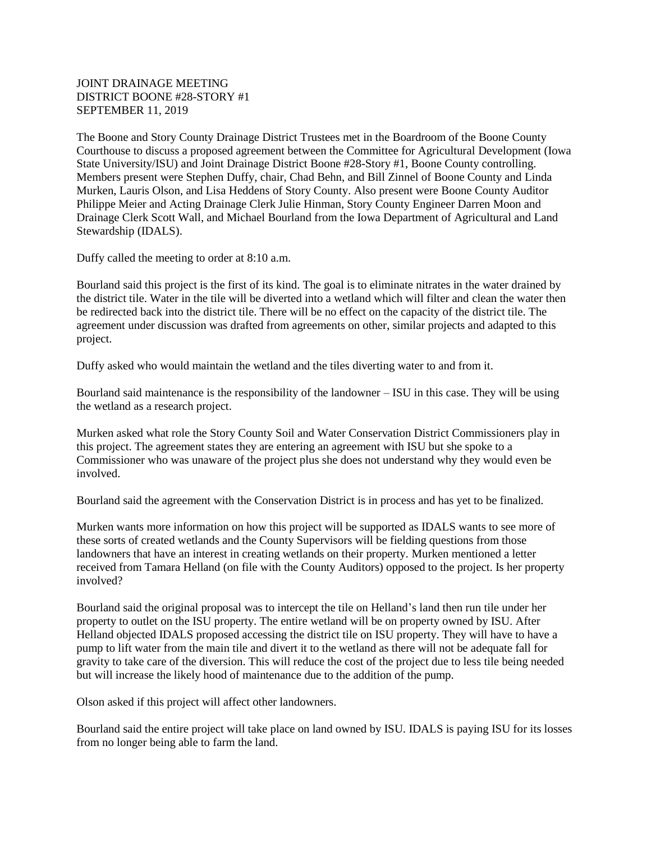## JOINT DRAINAGE MEETING DISTRICT BOONE #28-STORY #1 SEPTEMBER 11, 2019

The Boone and Story County Drainage District Trustees met in the Boardroom of the Boone County Courthouse to discuss a proposed agreement between the Committee for Agricultural Development (Iowa State University/ISU) and Joint Drainage District Boone #28-Story #1, Boone County controlling. Members present were Stephen Duffy, chair, Chad Behn, and Bill Zinnel of Boone County and Linda Murken, Lauris Olson, and Lisa Heddens of Story County. Also present were Boone County Auditor Philippe Meier and Acting Drainage Clerk Julie Hinman, Story County Engineer Darren Moon and Drainage Clerk Scott Wall, and Michael Bourland from the Iowa Department of Agricultural and Land Stewardship (IDALS).

Duffy called the meeting to order at 8:10 a.m.

Bourland said this project is the first of its kind. The goal is to eliminate nitrates in the water drained by the district tile. Water in the tile will be diverted into a wetland which will filter and clean the water then be redirected back into the district tile. There will be no effect on the capacity of the district tile. The agreement under discussion was drafted from agreements on other, similar projects and adapted to this project.

Duffy asked who would maintain the wetland and the tiles diverting water to and from it.

Bourland said maintenance is the responsibility of the landowner – ISU in this case. They will be using the wetland as a research project.

Murken asked what role the Story County Soil and Water Conservation District Commissioners play in this project. The agreement states they are entering an agreement with ISU but she spoke to a Commissioner who was unaware of the project plus she does not understand why they would even be involved.

Bourland said the agreement with the Conservation District is in process and has yet to be finalized.

Murken wants more information on how this project will be supported as IDALS wants to see more of these sorts of created wetlands and the County Supervisors will be fielding questions from those landowners that have an interest in creating wetlands on their property. Murken mentioned a letter received from Tamara Helland (on file with the County Auditors) opposed to the project. Is her property involved?

Bourland said the original proposal was to intercept the tile on Helland's land then run tile under her property to outlet on the ISU property. The entire wetland will be on property owned by ISU. After Helland objected IDALS proposed accessing the district tile on ISU property. They will have to have a pump to lift water from the main tile and divert it to the wetland as there will not be adequate fall for gravity to take care of the diversion. This will reduce the cost of the project due to less tile being needed but will increase the likely hood of maintenance due to the addition of the pump.

Olson asked if this project will affect other landowners.

Bourland said the entire project will take place on land owned by ISU. IDALS is paying ISU for its losses from no longer being able to farm the land.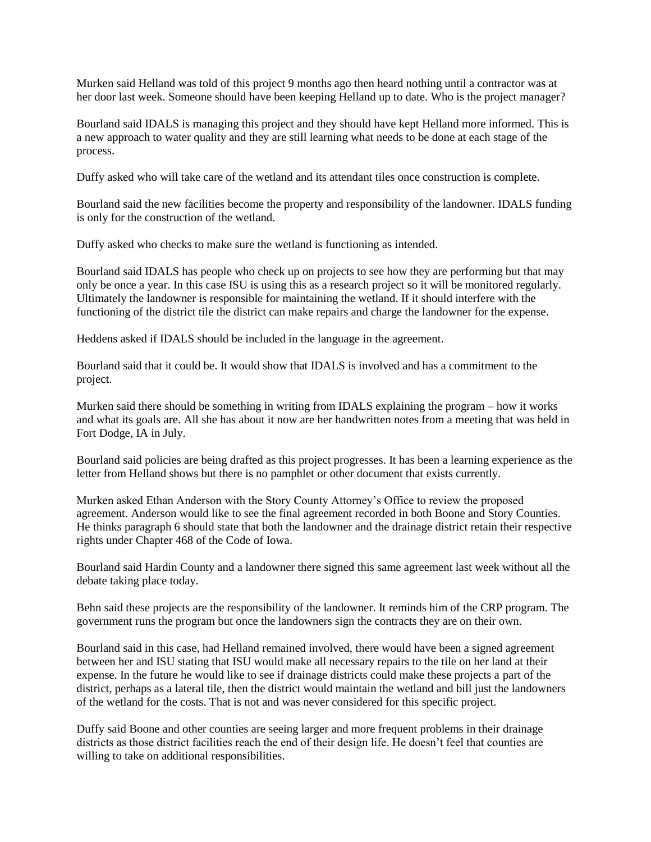Murken said Helland was told of this project 9 months ago then heard nothing until a contractor was at her door last week. Someone should have been keeping Helland up to date. Who is the project manager?

Bourland said IDALS is managing this project and they should have kept Helland more informed. This is a new approach to water quality and they are still learning what needs to be done at each stage of the process.

Duffy asked who will take care of the wetland and its attendant tiles once construction is complete.

Bourland said the new facilities become the property and responsibility of the landowner. IDALS funding is only for the construction of the wetland.

Duffy asked who checks to make sure the wetland is functioning as intended.

Bourland said IDALS has people who check up on projects to see how they are performing but that may only be once a year. In this case ISU is using this as a research project so it will be monitored regularly. Ultimately the landowner is responsible for maintaining the wetland. If it should interfere with the functioning of the district tile the district can make repairs and charge the landowner for the expense.

Heddens asked if IDALS should be included in the language in the agreement.

Bourland said that it could be. It would show that IDALS is involved and has a commitment to the project.

Murken said there should be something in writing from IDALS explaining the program – how it works and what its goals are. All she has about it now are her handwritten notes from a meeting that was held in Fort Dodge, IA in July.

Bourland said policies are being drafted as this project progresses. It has been a learning experience as the letter from Helland shows but there is no pamphlet or other document that exists currently.

Murken asked Ethan Anderson with the Story County Attorney's Office to review the proposed agreement. Anderson would like to see the final agreement recorded in both Boone and Story Counties. He thinks paragraph 6 should state that both the landowner and the drainage district retain their respective rights under Chapter 468 of the Code of Iowa.

Bourland said Hardin County and a landowner there signed this same agreement last week without all the debate taking place today.

Behn said these projects are the responsibility of the landowner. It reminds him of the CRP program. The government runs the program but once the landowners sign the contracts they are on their own.

Bourland said in this case, had Helland remained involved, there would have been a signed agreement between her and ISU stating that ISU would make all necessary repairs to the tile on her land at their expense. In the future he would like to see if drainage districts could make these projects a part of the district, perhaps as a lateral tile, then the district would maintain the wetland and bill just the landowners of the wetland for the costs. That is not and was never considered for this specific project.

Duffy said Boone and other counties are seeing larger and more frequent problems in their drainage districts as those district facilities reach the end of their design life. He doesn't feel that counties are willing to take on additional responsibilities.